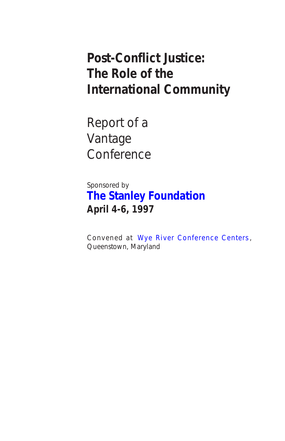# **Post-Conflict Justice: The Role of the International Community**

Report of a Vantage **Conference** 

Sponsored by **[The Stanley Foundation](http://www.stanleyfdn.org) April 4-6, 1997**

Convened at [Wye River Conference Centers](http://conferencecenters.com/bwiwy/) , Queenstown, Maryland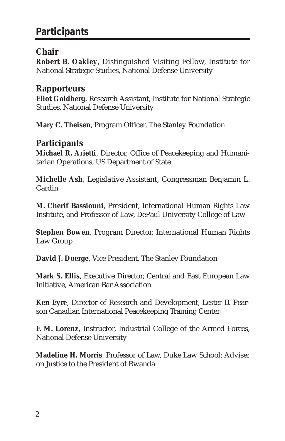# **Participants**

### **Chair**

**Robert B. Oakley**, Distinguished Visiting Fellow, Institute for National Strategic Studies, National Defense University

### **Rapporteurs**

**Eliot Goldberg**, Research Assistant, Institute for National Strategic Studies, National Defense University

**Mary C. Theisen**, Program Officer, The Stanley Foundation

### **Participants**

**Michael R. Arietti**, Director, Office of Peacekeeping and Humanitarian Operations, US Department of State

**Michelle Ash**, Legislative Assistant, Congressman Benjamin L. Cardin

**M. Cherif Bassiouni**, President, International Human Rights Law Institute, and Professor of Law, DePaul University College of Law

**Stephen Bowen**, Program Director, International Human Rights Law Group

**David J. Doerge**, Vice President, The Stanley Foundation

**Mark S. Ellis**, Executive Director, Central and East European Law Initiative, American Bar Association

**Ken Eyre**, Director of Research and Development, Lester B. Pearson Canadian International Peacekeeping Training Center

**F. M. Lorenz**, Instructor, Industrial College of the Armed Forces, National Defense University

**Madeline H. Morris**, Professor of Law, Duke Law School; Adviser on Justice to the President of Rwanda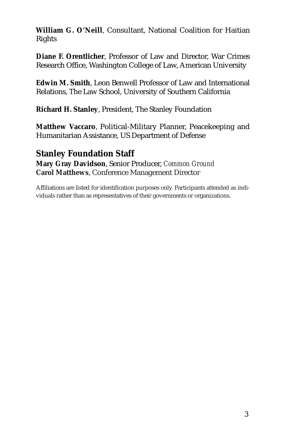**William G. O'Neill**, Consultant, National Coalition for Haitian Rights

**Diane F. Orentlicher**, Professor of Law and Director, War Crimes Research Office, Washington College of Law, American University

**Edwin M. Smith**, Leon Benwell Professor of Law and International Relations, The Law School, University of Southern California

**Richard H. Stanley**, President, The Stanley Foundation

**Matthew Vaccaro**, Political-Military Planner, Peacekeeping and Humanitarian Assistance, US Department of Defense

**Stanley Foundation Staff Mary Gray Davidson**, Senior Producer, *Common Ground* **Carol Matthews**, Conference Management Director

Affiliations are listed for identification purposes only. Participants attended as individuals rather than as representatives of their governments or organizations.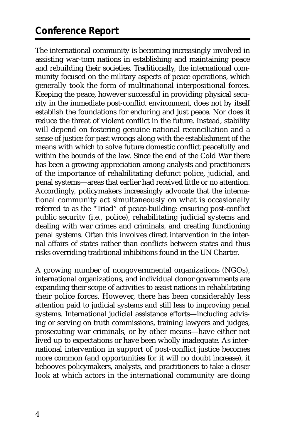# **Conference Report**

The international community is becoming increasingly involved in assisting war-torn nations in establishing and maintaining peace and rebuilding their societies. Traditionally, the international community focused on the military aspects of peace operations, which generally took the form of multinational interpositional forces. Keeping the peace, however successful in providing physical security in the immediate post-conflict environment, does not by itself establish the foundations for enduring and just peace. Nor does it reduce the threat of violent conflict in the future. Instead, stability will depend on fostering genuine national reconciliation and a sense of justice for past wrongs along with the establishment of the means with which to solve future domestic conflict peacefully and within the bounds of the law. Since the end of the Cold War there has been a growing appreciation among analysts and practitioners of the importance of rehabilitating defunct police, judicial, and penal systems—areas that earlier had received little or no attention. Accordingly, policymakers increasingly advocate that the international community act simultaneously on what is occasionally referred to as the "Triad" of peace-building: ensuring post-conflict public security (i.e., police), rehabilitating judicial systems and dealing with war crimes and criminals, and creating functioning penal systems. Often this involves direct intervention in the internal affairs of states rather than conflicts between states and thus risks overriding traditional inhibitions found in the UN Charter.

A growing number of nongovernmental organizations (NGOs), international organizations, and individual donor governments are expanding their scope of activities to assist nations in rehabilitating their police forces. However, there has been considerably less attention paid to judicial systems and still less to improving penal systems. International judicial assistance efforts—including advising or serving on truth commissions, training lawyers and judges, prosecuting war criminals, or by other means—have either not lived up to expectations or have been wholly inadequate. As international intervention in support of post-conflict justice becomes more common (and opportunities for it will no doubt increase), it behooves policymakers, analysts, and practitioners to take a closer look at which actors in the international community are doing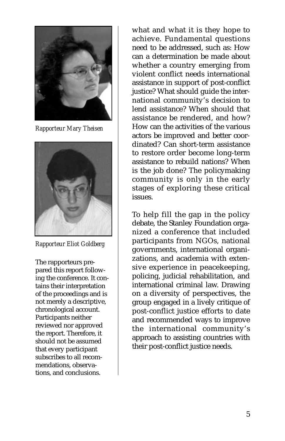

*Rapporteur Mary Theisen*



*Rapporteur Eliot Goldberg*

The rapporteurs prepared this report following the conference. It contains their interpretation of the proceedings and is not merely a descriptive, chronological account. Participants neither reviewed nor approved the report. Therefore, it should not be assumed that every participant subscribes to all recommendations, observations, and conclusions.

what and what it is they hope to achieve. Fundamental questions need to be addressed, such as: How can a determination be made about whether a country emerging from violent conflict needs international assistance in support of post-conflict justice? What should guide the international community's decision to lend assistance? When should that assistance be rendered, and how? How can the activities of the various actors be improved and better coordinated? Can short-term assistance to restore order become long-term assistance to rebuild nations? When is the job done? The policymaking community is only in the early stages of exploring these critical issues.

To help fill the gap in the policy debate, the Stanley Foundation organized a conference that included participants from NGOs, national governments, international organizations, and academia with extensive experience in peacekeeping, policing, judicial rehabilitation, and international criminal law. Drawing on a diversity of perspectives, the group engaged in a lively critique of post-conflict justice efforts to date and recommended ways to improve the international community's approach to assisting countries with their post-conflict justice needs.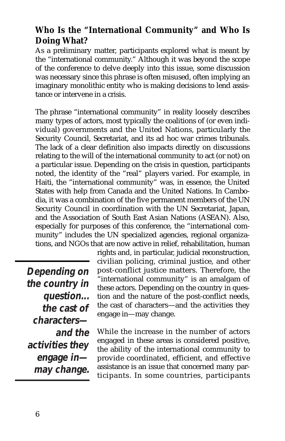### **Who Is the "International Community" and Who Is Doing What?**

As a preliminary matter, participants explored what is meant by the "international community." Although it was beyond the scope of the conference to delve deeply into this issue, some discussion was necessary since this phrase is often misused, often implying an imaginary monolithic entity who is making decisions to lend assistance or intervene in a crisis.

The phrase "international community" in reality loosely describes many types of actors, most typically the coalitions of (or even individual) governments and the United Nations, particularly the Security Council, Secretariat, and its ad hoc war crimes tribunals. The lack of a clear definition also impacts directly on discussions relating to the will of the international community to act (or not) on a particular issue. Depending on the crisis in question, participants noted, the identity of the "real" players varied. For example, in Haiti, the "international community" was, in essence, the United States with help from Canada and the United Nations. In Cambodia, it was a combination of the five permanent members of the UN Security Council in coordination with the UN Secretariat, Japan, and the Association of South East Asian Nations (ASEAN). Also, especially for purposes of this conference, the "international community" includes the UN specialized agencies, regional organizations, and NGOs that are now active in relief, rehabilitation, human

**Depending on the country in question... the cast of characters and the activities they engage in may change.**

rights and, in particular, judicial reconstruction, civilian policing, criminal justice, and other post-conflict justice matters. Therefore, the "international community" is an amalgam of these actors. Depending on the country in question and the nature of the post-conflict needs, the cast of characters—and the activities they engage in—may change.

While the increase in the number of actors engaged in these areas is considered positive, the ability of the international community to provide coordinated, efficient, and effective assistance is an issue that concerned many participants. In some countries, participants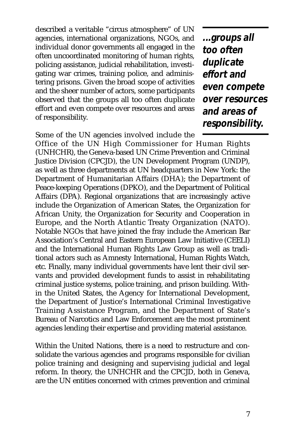described a veritable "circus atmosphere" of UN agencies, international organizations, NGOs, and individual donor governments all engaged in the often uncoordinated monitoring of human rights, policing assistance, judicial rehabilitation, investigating war crimes, training police, and administering prisons. Given the broad scope of activities and the sheer number of actors, some participants observed that the groups all too often duplicate effort and even compete over resources and areas of responsibility.

**...groups all too often duplicate effort and even compete over resources and areas of responsibility.** 

Some of the UN agencies involved include the Office of the UN High Commissioner for Human Rights (UNHCHR), the Geneva-based UN Crime Prevention and Criminal Justice Division (CPCJD), the UN Development Program (UNDP), as well as three departments at UN headquarters in New York: the Department of Humanitarian Affairs (DHA); the Department of Peace-keeping Operations (DPKO), and the Department of Political Affairs (DPA). Regional organizations that are increasingly active include the Organization of American States, the Organization for African Unity, the Organization for Security and Cooperation in Europe, and the North Atlantic Treaty Organization (NATO). Notable NGOs that have joined the fray include the American Bar Association's Central and Eastern European Law Initiative (CEELI) and the International Human Rights Law Group as well as traditional actors such as Amnesty International, Human Rights Watch, etc. Finally, many individual governments have lent their civil servants and provided development funds to assist in rehabilitating criminal justice systems, police training, and prison building. Within the United States, the Agency for International Development, the Department of Justice's International Criminal Investigative Training Assistance Program, and the Department of State's Bureau of Narcotics and Law Enforcement are the most prominent agencies lending their expertise and providing material assistance.

Within the United Nations, there is a need to restructure and consolidate the various agencies and programs responsible for civilian police training and designing and supervising judicial and legal reform. In theory, the UNHCHR and the CPCJD, both in Geneva, are the UN entities concerned with crimes prevention and criminal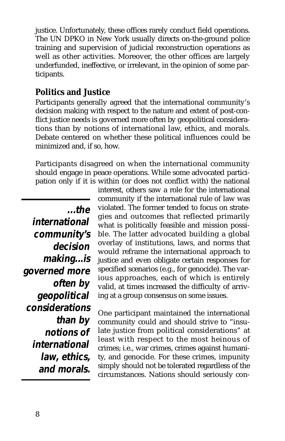justice. Unfortunately, these offices rarely conduct field operations. The UN DPKO in New York usually directs on-the-ground police training and supervision of judicial reconstruction operations as well as other activities. Moreover, the other offices are largely underfunded, ineffective, or irrelevant, in the opinion of some participants.

### **Politics and Justice**

Participants generally agreed that the international community's decision making with respect to the nature and extent of post-conflict justice needs is governed more often by geopolitical considerations than by notions of international law, ethics, and morals. Debate centered on whether these political influences could be minimized and, if so, how.

Participants disagreed on when the international community should engage in peace operations. While some advocated participation only if it is within (or does not conflict with) the national

**...the international community's decision making...is governed more often by geopolitical considerations than by notions of international law, ethics, and morals.** 

interest, others saw a role for the international community if the international rule of law was violated. The former tended to focus on strategies and outcomes that reflected primarily what is politically feasible and mission possible. The latter advocated building a global overlay of institutions, laws, and norms that would reframe the international approach to justice and even obligate certain responses for specified scenarios (e.g., for genocide). The various approaches, each of which is entirely valid, at times increased the difficulty of arriving at a group consensus on some issues.

One participant maintained the international community could and should strive to "insulate justice from political considerations" at least with respect to the most heinous of crimes; i.e., war crimes, crimes against humanity, and genocide. For these crimes, impunity simply should not be tolerated regardless of the circumstances. Nations should seriously con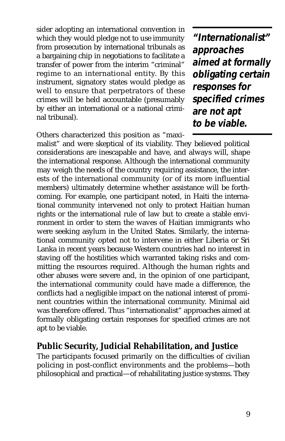sider adopting an international convention in which they would pledge not to use immunity from prosecution by international tribunals as a bargaining chip in negotiations to facilitate a transfer of power from the interim "criminal" regime to an international entity. By this instrument, signatory states would pledge as well to ensure that perpetrators of these crimes will be held accountable (presumably by either an international or a national criminal tribunal).

Others characterized this position as "maxi-

**"Internationalist" approaches aimed at formally obligating certain responses for specified crimes are not apt to be viable.**

malist" and were skeptical of its viability. They believed political considerations are inescapable and have, and always will, shape the international response. Although the international community may weigh the needs of the country requiring assistance, the interests of the international community (or of its more influential members) ultimately determine whether assistance will be forthcoming. For example, one participant noted, in Haiti the international community intervened not only to protect Haitian human rights or the international rule of law but to create a stable environment in order to stem the waves of Haitian immigrants who were seeking asylum in the United States. Similarly, the international community opted not to intervene in either Liberia or Sri Lanka in recent years because Western countries had no interest in staving off the hostilities which warranted taking risks and committing the resources required. Although the human rights and other abuses were severe and, in the opinion of one participant, the international community could have made a difference, the conflicts had a negligible impact on the national interest of prominent countries within the international community. Minimal aid was therefore offered. Thus "internationalist" approaches aimed at formally obligating certain responses for specified crimes are not apt to be viable.

### **Public Security, Judicial Rehabilitation, and Justice**

The participants focused primarily on the difficulties of civilian policing in post-conflict environments and the problems—both philosophical and practical—of rehabilitating justice systems. They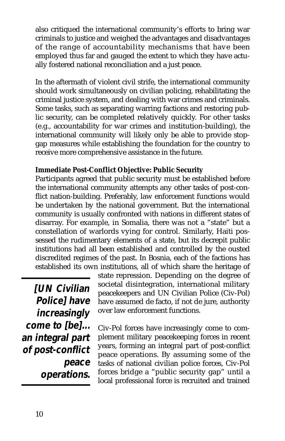also critiqued the international community's efforts to bring war criminals to justice and weighed the advantages and disadvantages of the range of accountability mechanisms that have been employed thus far and gauged the extent to which they have actually fostered national reconciliation and a just peace.

In the aftermath of violent civil strife, the international community should work simultaneously on civilian policing, rehabilitating the criminal justice system, and dealing with war crimes and criminals. Some tasks, such as separating warring factions and restoring public security, can be completed relatively quickly. For other tasks (e.g., accountability for war crimes and institution-building), the international community will likely only be able to provide stopgap measures while establishing the foundation for the country to receive more comprehensive assistance in the future.

#### **Immediate Post-Conflict Objective: Public Security**

Participants agreed that public security must be established before the international community attempts any other tasks of post-conflict nation-building. Preferably, law enforcement functions would be undertaken by the national government. But the international community is usually confronted with nations in different states of disarray. For example, in Somalia, there was not a "state" but a constellation of warlords vying for control. Similarly, Haiti possessed the rudimentary elements of a state, but its decrepit public institutions had all been established and controlled by the ousted discredited regimes of the past. In Bosnia, each of the factions has established its own institutions, all of which share the heritage of

**[UN Civilian Police] have increasingly come to [be]... an integral part of post-conflict peace operations.**

state repression. Depending on the degree of societal disintegration, international military peacekeepers and UN Civilian Police (Civ-Pol) have assumed de facto, if not de jure, authority over law enforcement functions.

Civ-Pol forces have increasingly come to complement military peacekeeping forces in recent years, forming an integral part of post-conflict peace operations. By assuming some of the tasks of national civilian police forces, Civ-Pol forces bridge a "public security gap" until a local professional force is recruited and trained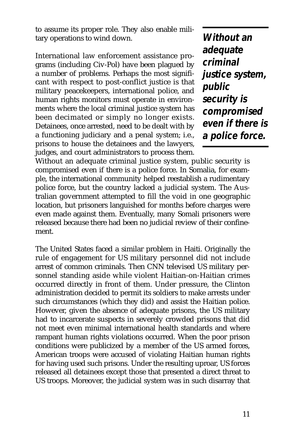to assume its proper role. They also enable military operations to wind down.

International law enforcement assistance programs (including Civ-Pol) have been plagued by a number of problems. Perhaps the most significant with respect to post-conflict justice is that military peacekeepers, international police, and human rights monitors must operate in environments where the local criminal justice system has been decimated or simply no longer exists. Detainees, once arrested, need to be dealt with by a functioning judiciary and a penal system; i.e., prisons to house the detainees and the lawyers, judges, and court administrators to process them.

**Without an adequate criminal justice system, public security is compromised even if there is a police force.**

Without an adequate criminal justice system, public security is compromised even if there is a police force. In Somalia, for example, the international community helped reestablish a rudimentary police force, but the country lacked a judicial system. The Australian government attempted to fill the void in one geographic location, but prisoners languished for months before charges were even made against them. Eventually, many Somali prisoners were released because there had been no judicial review of their confinement.

The United States faced a similar problem in Haiti. Originally the rule of engagement for US military personnel did not include arrest of common criminals. Then CNN televised US military personnel standing aside while violent Haitian-on-Haitian crimes occurred directly in front of them. Under pressure, the Clinton administration decided to permit its soldiers to make arrests under such circumstances (which they did) and assist the Haitian police. However, given the absence of adequate prisons, the US military had to incarcerate suspects in severely crowded prisons that did not meet even minimal international health standards and where rampant human rights violations occurred. When the poor prison conditions were publicized by a member of the US armed forces, American troops were accused of violating Haitian human rights for having used such prisons. Under the resulting uproar, US forces released all detainees except those that presented a direct threat to US troops. Moreover, the judicial system was in such disarray that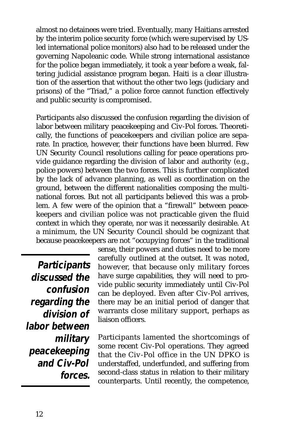almost no detainees were tried. Eventually, many Haitians arrested by the interim police security force (which were supervised by USled international police monitors) also had to be released under the governing Napoleanic code. While strong international assistance for the police began immediately, it took a year before a weak, faltering judicial assistance program began. Haiti is a clear illustration of the assertion that without the other two legs (judiciary and prisons) of the "Triad," a police force cannot function effectively and public security is compromised.

Participants also discussed the confusion regarding the division of labor between military peacekeeping and Civ-Pol forces. Theoretically, the functions of peacekeepers and civilian police are separate. In practice, however, their functions have been blurred. Few UN Security Council resolutions calling for peace operations provide guidance regarding the division of labor and authority (e.g., police powers) between the two forces. This is further complicated by the lack of advance planning, as well as coordination on the ground, between the different nationalities composing the multinational forces. But not all participants believed this was a problem. A few were of the opinion that a "firewall" between peacekeepers and civilian police was not practicable given the fluid context in which they operate, nor was it necessarily desirable. At a minimum, the UN Security Council should be cognizant that because peacekeepers are not "occupying forces" in the traditional

**Participants discussed the confusion regarding the division of labor between military peacekeeping and Civ-Pol forces.** sense, their powers and duties need to be more carefully outlined at the outset. It was noted, however, that because only military forces have surge capabilities, they will need to provide public security immediately until Civ-Pol can be deployed. Even after Civ-Pol arrives, there may be an initial period of danger that warrants close military support, perhaps as liaison officers.

Participants lamented the shortcomings of some recent Civ-Pol operations. They agreed that the Civ-Pol office in the UN DPKO is understaffed, underfunded, and suffering from second-class status in relation to their military counterparts. Until recently, the competence,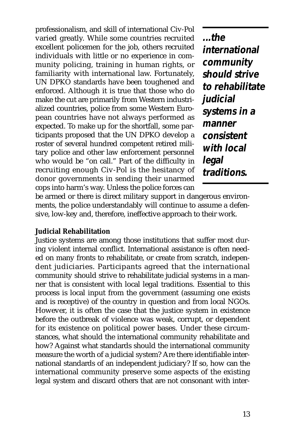professionalism, and skill of international Civ-Pol varied greatly. While some countries recruited excellent policemen for the job, others recruited individuals with little or no experience in community policing, training in human rights, or familiarity with international law. Fortunately, UN DPKO standards have been toughened and enforced. Although it is true that those who do make the cut are primarily from Western industrialized countries, police from some Western European countries have not always performed as expected. To make up for the shortfall, some participants proposed that the UN DPKO develop a roster of several hundred competent retired military police and other law enforcement personnel who would be "on call." Part of the difficulty in recruiting enough Civ-Pol is the hesitancy of donor governments in sending their unarmed cops into harm's way. Unless the police forces can

**...the international community should strive to rehabilitate judicial systems in a manner consistent with local legal traditions.**

be armed or there is direct military support in dangerous environments, the police understandably will continue to assume a defensive, low-key and, therefore, ineffective approach to their work.

#### **Judicial Rehabilitation**

Justice systems are among those institutions that suffer most during violent internal conflict. International assistance is often needed on many fronts to rehabilitate, or create from scratch, independent judiciaries. Participants agreed that the international community should strive to rehabilitate judicial systems in a manner that is consistent with local legal traditions. Essential to this process is local input from the government (assuming one exists and is receptive) of the country in question and from local NGOs. However, it is often the case that the justice system in existence before the outbreak of violence was weak, corrupt, or dependent for its existence on political power bases. Under these circumstances, what should the international community rehabilitate and how? Against what standards should the international community measure the worth of a judicial system? Are there identifiable international standards of an independent judiciary? If so, how can the international community preserve some aspects of the existing legal system and discard others that are not consonant with inter-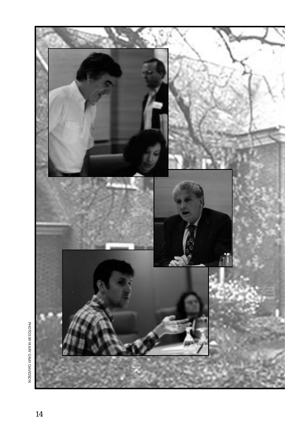

PHOTOS BY MARY GRAY DAVIDSON PHOTOS BY MARY GRAY DAVIDSON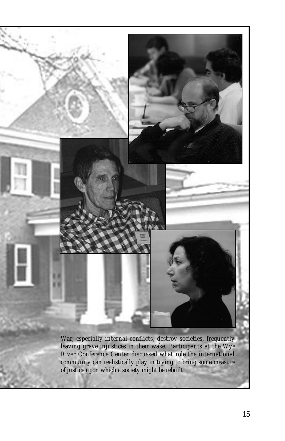*War, especially internal conflicts, destroy societies, frequently leaving grave injustices in their wake. Participants at the Wye River Conference Center discussed what role the international community can realistically play in trying to bring some measure of justice upon which a society might be rebuilt.*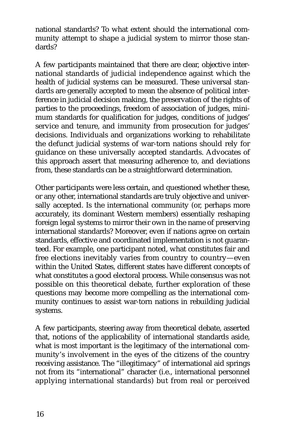national standards? To what extent should the international community attempt to shape a judicial system to mirror those standards?

A few participants maintained that there are clear, objective international standards of judicial independence against which the health of judicial systems can be measured. These universal standards are generally accepted to mean the absence of political interference in judicial decision making, the preservation of the rights of parties to the proceedings, freedom of association of judges, minimum standards for qualification for judges, conditions of judges' service and tenure, and immunity from prosecution for judges' decisions. Individuals and organizations working to rehabilitate the defunct judicial systems of war-torn nations should rely for guidance on these universally accepted standards. Advocates of this approach assert that measuring adherence to, and deviations from, these standards can be a straightforward determination.

Other participants were less certain, and questioned whether these, or any other, international standards are truly objective and universally accepted. Is the international community (or, perhaps more accurately, its dominant Western members) essentially reshaping foreign legal systems to mirror their own in the name of preserving international standards? Moreover, even if nations agree on certain standards, effective and coordinated implementation is not guaranteed. For example, one participant noted, what constitutes fair and free elections inevitably varies from country to country—even within the United States, different states have different concepts of what constitutes a good electoral process. While consensus was not possible on this theoretical debate, further exploration of these questions may become more compelling as the international community continues to assist war-torn nations in rebuilding judicial systems.

A few participants, steering away from theoretical debate, asserted that, notions of the applicability of international standards aside, what is most important is the legitimacy of the international community's involvement in the eyes of the citizens of the country receiving assistance. The "illegitimacy" of international aid springs not from its "international" character (i.e., international personnel applying international standards) but from real or perceived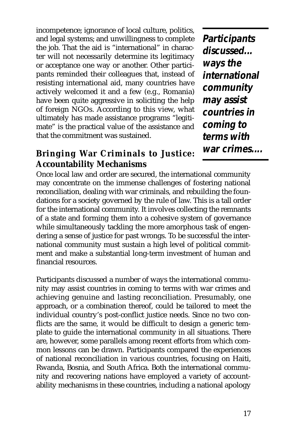incompetence; ignorance of local culture, politics, and legal systems; and unwillingness to complete the job. That the aid is "international" in character will not necessarily determine its legitimacy or acceptance one way or another. Other participants reminded their colleagues that, instead of resisting international aid, many countries have actively welcomed it and a few (e.g., Romania) have been quite aggressive in soliciting the help of foreign NGOs. According to this view, what ultimately has made assistance programs "legitimate" is the practical value of the assistance and that the commitment was sustained.

**Participants discussed... ways the international community may assist countries in coming to terms with war crimes....**

### **Bringing War Criminals to Justice: Accountability Mechanisms**

Once local law and order are secured, the international community may concentrate on the immense challenges of fostering national reconciliation, dealing with war criminals, and rebuilding the foundations for a society governed by the rule of law. This is a tall order for the international community. It involves collecting the remnants of a state and forming them into a cohesive system of governance while simultaneously tackling the more amorphous task of engendering a sense of justice for past wrongs. To be successful the international community must sustain a high level of political commitment and make a substantial long-term investment of human and financial resources.

Participants discussed a number of ways the international community may assist countries in coming to terms with war crimes and achieving genuine and lasting reconciliation. Presumably, one approach, or a combination thereof, could be tailored to meet the individual country's post-conflict justice needs. Since no two conflicts are the same, it would be difficult to design a generic template to guide the international community in all situations. There are, however, some parallels among recent efforts from which common lessons can be drawn. Participants compared the experiences of national reconciliation in various countries, focusing on Haiti, Rwanda, Bosnia, and South Africa. Both the international community and recovering nations have employed a variety of accountability mechanisms in these countries, including a national apology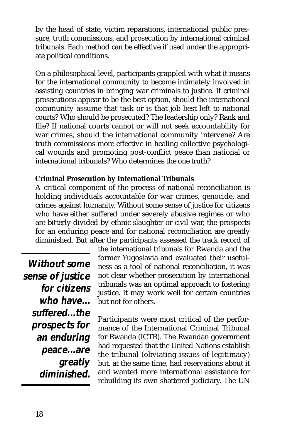by the head of state, victim reparations, international public pressure, truth commissions, and prosecution by international criminal tribunals. Each method can be effective if used under the appropriate political conditions.

On a philosophical level, participants grappled with what it means for the international community to become intimately involved in assisting countries in bringing war criminals to justice. If criminal prosecutions appear to be the best option, should the international community assume that task or is that job best left to national courts? Who should be prosecuted? The leadership only? Rank and file? If national courts cannot or will not seek accountability for war crimes, should the international community intervene? Are truth commissions more effective in healing collective psychological wounds and promoting post-conflict peace than national or international tribunals? Who determines the one truth?

#### **Criminal Prosecution by International Tribunals**

A critical component of the process of national reconciliation is holding individuals accountable for war crimes, genocide, and crimes against humanity. Without some sense of justice for citizens who have either suffered under severely abusive regimes or who are bitterly divided by ethnic slaughter or civil war, the prospects for an enduring peace and for national reconciliation are greatly diminished. But after the participants assessed the track record of

**Without some sense of justice for citizens who have... suffered...the prospects for an enduring peace...are greatly diminished.** the international tribunals for Rwanda and the former Yugoslavia and evaluated their usefulness as a tool of national reconciliation, it was not clear whether prosecution by international tribunals was an optimal approach to fostering justice. It may work well for certain countries but not for others.

Participants were most critical of the performance of the International Criminal Tribunal for Rwanda (ICTR). The Rwandan government had requested that the United Nations establish the tribunal (obviating issues of legitimacy) but, at the same time, had reservations about it and wanted more international assistance for rebuilding its own shattered judiciary. The UN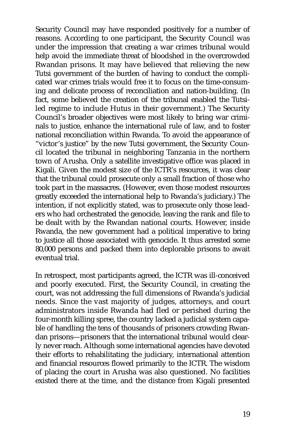Security Council may have responded positively for a number of reasons. According to one participant, the Security Council was under the impression that creating a war crimes tribunal would help avoid the immediate threat of bloodshed in the overcrowded Rwandan prisons. It may have believed that relieving the new Tutsi government of the burden of having to conduct the complicated war crimes trials would free it to focus on the time-consuming and delicate process of reconciliation and nation-building. (In fact, some believed the creation of the tribunal enabled the Tutsiled regime to include Hutus in their government.) The Security Council's broader objectives were most likely to bring war criminals to justice, enhance the international rule of law, and to foster national reconciliation within Rwanda. To avoid the appearance of "victor's justice" by the new Tutsi government, the Security Council located the tribunal in neighboring Tanzania in the northern town of Arusha. Only a satellite investigative office was placed in Kigali. Given the modest size of the ICTR's resources, it was clear that the tribunal could prosecute only a small fraction of those who took part in the massacres. (However, even those modest resources greatly exceeded the international help to Rwanda's judiciary.) The intention, if not explicitly stated, was to prosecute only those leaders who had orchestrated the genocide, leaving the rank and file to be dealt with by the Rwandan national courts. However, inside Rwanda, the new government had a political imperative to bring to justice all those associated with genocide. It thus arrested some 80,000 persons and packed them into deplorable prisons to await eventual trial.

In retrospect, most participants agreed, the ICTR was ill-conceived and poorly executed. First, the Security Council, in creating the court, was not addressing the full dimensions of Rwanda's judicial needs. Since the vast majority of judges, attorneys, and court administrators inside Rwanda had fled or perished during the four-month killing spree, the country lacked a judicial system capable of handling the tens of thousands of prisoners crowding Rwandan prisons—prisoners that the international tribunal would clearly never reach. Although some international agencies have devoted their efforts to rehabilitating the judiciary, international attention and financial resources flowed primarily to the ICTR. The wisdom of placing the court in Arusha was also questioned. No facilities existed there at the time, and the distance from Kigali presented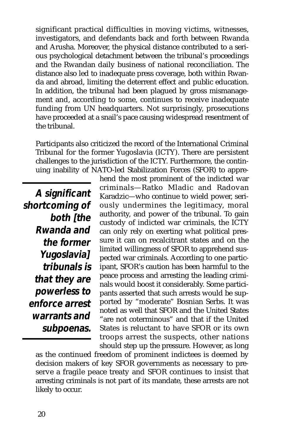significant practical difficulties in moving victims, witnesses, investigators, and defendants back and forth between Rwanda and Arusha. Moreover, the physical distance contributed to a serious psychological detachment between the tribunal's proceedings and the Rwandan daily business of national reconciliation. The distance also led to inadequate press coverage, both within Rwanda and abroad, limiting the deterrent effect and public education. In addition, the tribunal had been plagued by gross mismanagement and, according to some, continues to receive inadequate funding from UN headquarters. Not surprisingly, prosecutions have proceeded at a snail's pace causing widespread resentment of the tribunal.

Participants also criticized the record of the International Criminal Tribunal for the former Yugoslavia (ICTY). There are persistent challenges to the jurisdiction of the ICTY. Furthermore, the continuing inability of NATO-led Stabilization Forces (SFOR) to appre-

**A significant shortcoming of both [the Rwanda and the former Yugoslavia] tribunals is that they are powerless to enforce arrest warrants and subpoenas.**

hend the most prominent of the indicted war criminals—Ratko Mladic and Radovan Karadzic—who continue to wield power, seriously undermines the legitimacy, moral authority, and power of the tribunal. To gain custody of indicted war criminals, the ICTY can only rely on exerting what political pressure it can on recalcitrant states and on the limited willingness of SFOR to apprehend suspected war criminals. According to one participant, SFOR's caution has been harmful to the peace process and arresting the leading criminals would boost it considerably. Some participants asserted that such arrests would be supported by "moderate" Bosnian Serbs. It was noted as well that SFOR and the United States "are not coterminous" and that if the United States is reluctant to have SFOR or its own troops arrest the suspects, other nations should step up the pressure. However, as long

as the continued freedom of prominent indictees is deemed by decision makers of key SFOR governments as necessary to preserve a fragile peace treaty and SFOR continues to insist that arresting criminals is not part of its mandate, these arrests are not likely to occur.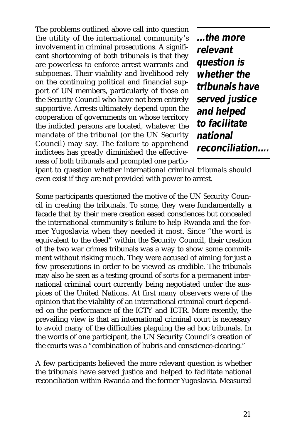The problems outlined above call into question the utility of the international community's involvement in criminal prosecutions. A significant shortcoming of both tribunals is that they are powerless to enforce arrest warrants and subpoenas. Their viability and livelihood rely on the continuing political and financial support of UN members, particularly of those on the Security Council who have not been entirely supportive. Arrests ultimately depend upon the cooperation of governments on whose territory the indicted persons are located, whatever the mandate of the tribunal (or the UN Security Council) may say. The failure to apprehend indictees has greatly diminished the effectiveness of both tribunals and prompted one partic-

**...the more relevant question is whether the tribunals have served justice and helped to facilitate national reconciliation....**

ipant to question whether international criminal tribunals should even exist if they are not provided with power to arrest.

Some participants questioned the motive of the UN Security Council in creating the tribunals. To some, they were fundamentally a facade that by their mere creation eased consciences but concealed the international community's failure to help Rwanda and the former Yugoslavia when they needed it most. Since "the word is equivalent to the deed" within the Security Council, their creation of the two war crimes tribunals was a way to show some commitment without risking much. They were accused of aiming for just a few prosecutions in order to be viewed as credible. The tribunals may also be seen as a testing ground of sorts for a permanent international criminal court currently being negotiated under the auspices of the United Nations. At first many observers were of the opinion that the viability of an international criminal court depended on the performance of the ICTY and ICTR. More recently, the prevailing view is that an international criminal court is necessary to avoid many of the difficulties plaguing the ad hoc tribunals. In the words of one participant, the UN Security Council's creation of the courts was a "combination of hubris and conscience-clearing."

A few participants believed the more relevant question is whether the tribunals have served justice and helped to facilitate national reconciliation within Rwanda and the former Yugoslavia. Measured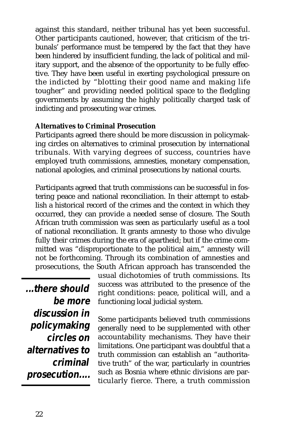against this standard, neither tribunal has yet been successful. Other participants cautioned, however, that criticism of the tribunals' performance must be tempered by the fact that they have been hindered by insufficient funding, the lack of political and military support, and the absence of the opportunity to be fully effective. They have been useful in exerting psychological pressure on the indicted by "blotting their good name and making life tougher" and providing needed political space to the fledgling governments by assuming the highly politically charged task of indicting and prosecuting war crimes.

#### **Alternatives to Criminal Prosecution**

Participants agreed there should be more discussion in policymaking circles on alternatives to criminal prosecution by international tribunals. With varying degrees of success, countries have employed truth commissions, amnesties, monetary compensation, national apologies, and criminal prosecutions by national courts.

Participants agreed that truth commissions can be successful in fostering peace and national reconciliation. In their attempt to establish a historical record of the crimes and the context in which they occurred, they can provide a needed sense of closure. The South African truth commission was seen as particularly useful as a tool of national reconciliation. It grants amnesty to those who divulge fully their crimes during the era of apartheid; but if the crime committed was "disproportionate to the political aim," amnesty will not be forthcoming. Through its combination of amnesties and prosecutions, the South African approach has transcended the

**...there should be more discussion in policymaking circles on alternatives to criminal prosecution....**

usual dichotomies of truth commissions. Its success was attributed to the presence of the right conditions: peace, political will, and a functioning local judicial system.

Some participants believed truth commissions generally need to be supplemented with other accountability mechanisms. They have their limitations. One participant was doubtful that a truth commission can establish an "authoritative truth" of the war, particularly in countries such as Bosnia where ethnic divisions are particularly fierce. There, a truth commission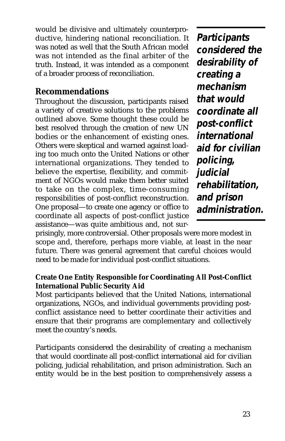would be divisive and ultimately counterproductive, hindering national reconciliation. It was noted as well that the South African model was not intended as the final arbiter of the truth. Instead, it was intended as a component of a broader process of reconciliation.

### **Recommendations**

Throughout the discussion, participants raised a variety of creative solutions to the problems outlined above. Some thought these could be best resolved through the creation of new UN bodies or the enhancement of existing ones. Others were skeptical and warned against loading too much onto the United Nations or other international organizations. They tended to believe the expertise, flexibility, and commitment of NGOs would make them better suited to take on the complex, time-consuming responsibilities of post-conflict reconstruction. One proposal—to create one agency or office to coordinate all aspects of post-conflict justice assistance—was quite ambitious and, not sur-

**Participants considered the desirability of creating a mechanism that would coordinate all post-conflict international aid for civilian policing, judicial rehabilitation, and prison administration.**

prisingly, more controversial. Other proposals were more modest in scope and, therefore, perhaps more viable, at least in the near future. There was general agreement that careful choices would need to be made for individual post-conflict situations.

#### **Create One Entity Responsible for Coordinating All Post-Conflict International Public Security Aid**

Most participants believed that the United Nations, international organizations, NGOs, and individual governments providing postconflict assistance need to better coordinate their activities and ensure that their programs are complementary and collectively meet the country's needs.

Participants considered the desirability of creating a mechanism that would coordinate all post-conflict international aid for civilian policing, judicial rehabilitation, and prison administration. Such an entity would be in the best position to comprehensively assess a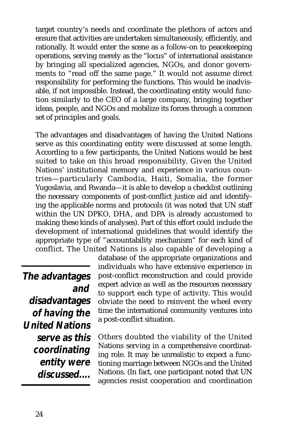target country's needs and coordinate the plethora of actors and ensure that activities are undertaken simultaneously, efficiently, and rationally. It would enter the scene as a follow-on to peacekeeping operations, serving merely as the "locus" of international assistance by bringing all specialized agencies, NGOs, and donor governments to "read off the same page." It would not assume direct responsibility for performing the functions. This would be inadvisable, if not impossible. Instead, the coordinating entity would function similarly to the CEO of a large company, bringing together ideas, people, and NGOs and mobilize its forces through a common set of principles and goals.

The advantages and disadvantages of having the United Nations serve as this coordinating entity were discussed at some length. According to a few participants, the United Nations would be best suited to take on this broad responsibility. Given the United Nations' institutional memory and experience in various countries—particularly Cambodia, Haiti, Somalia, the former Yugoslavia, and Rwanda—it is able to develop a checklist outlining the necessary components of post-conflict justice aid and identifying the applicable norms and protocols (it was noted that UN staff within the UN DPKO, DHA, and DPA is already accustomed to making these kinds of analyses). Part of this effort could include the development of international guidelines that would identify the appropriate type of "accountability mechanism" for each kind of conflict. The United Nations is also capable of developing a

**The advantages and disadvantages of having the United Nations serve as this coordinating entity were discussed....** database of the appropriate organizations and individuals who have extensive experience in post-conflict reconstruction and could provide expert advice as well as the resources necessary to support each type of activity. This would obviate the need to reinvent the wheel every time the international community ventures into a post-conflict situation.

Others doubted the viability of the United Nations serving in a comprehensive coordinating role. It may be unrealistic to expect a functioning marriage between NGOs and the United Nations. (In fact, one participant noted that UN agencies resist cooperation and coordination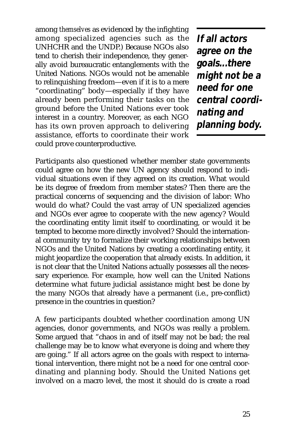among *themselves* as evidenced by the infighting among specialized agencies such as the UNHCHR and the UNDP.) Because NGOs also tend to cherish their independence, they generally avoid bureaucratic entanglements with the United Nations. NGOs would not be amenable to relinquishing freedom—even if it is to a mere "coordinating" body—especially if they have already been performing their tasks on the ground before the United Nations ever took interest in a country. Moreover, as each NGO has its own proven approach to delivering assistance, efforts to coordinate their work could prove counterproductive.

**If all actors agree on the goals...there might not be a need for one central coordinating and planning body.**

Participants also questioned whether member state governments could agree on how the new UN agency should respond to individual situations even if they agreed on its creation. What would be its degree of freedom from member states? Then there are the practical concerns of sequencing and the division of labor: Who would do what? Could the vast array of UN specialized agencies and NGOs ever agree to cooperate with the new agency? Would the coordinating entity limit itself to coordinating, or would it be tempted to become more directly involved? Should the international community try to formalize their working relationships between NGOs and the United Nations by creating a coordinating entity, it might jeopardize the cooperation that already exists. In addition, it is not clear that the United Nations actually possesses all the necessary experience. For example, how well can the United Nations determine what future judicial assistance might best be done by the many NGOs that already have a permanent (i.e., pre-conflict) presence in the countries in question?

A few participants doubted whether coordination among UN agencies, donor governments, and NGOs was really a problem. Some argued that "chaos in and of itself may not be bad; the real challenge may be to know what everyone is doing and where they are going." If all actors agree on the goals with respect to international intervention, there might not be a need for one central coordinating and planning body. Should the United Nations get involved on a macro level, the most it should do is create a road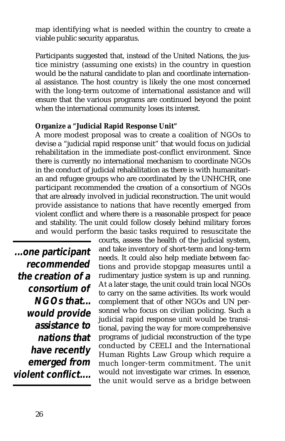map identifying what is needed within the country to create a viable public security apparatus.

Participants suggested that, instead of the United Nations, the justice ministry (assuming one exists) in the country in question would be the natural candidate to plan and coordinate international assistance. The host country is likely the one most concerned with the long-term outcome of international assistance and will ensure that the various programs are continued beyond the point when the international community loses its interest.

#### **Organize a "Judicial Rapid Response Unit"**

A more modest proposal was to create a coalition of NGOs to devise a "judicial rapid response unit" that would focus on judicial rehabilitation in the immediate post-conflict environment. Since there is currently no international mechanism to coordinate NGOs in the conduct of judicial rehabilitation as there is with humanitarian and refugee groups who are coordinated by the UNHCHR, one participant recommended the creation of a consortium of NGOs that are already involved in judicial reconstruction. The unit would provide assistance to nations that have recently emerged from violent conflict and where there is a reasonable prospect for peace and stability. The unit could follow closely behind military forces and would perform the basic tasks required to resuscitate the

**...one participant recommended the creation of a consortium of NGOs that... would provide assistance to nations that have recently emerged from violent conflict....** 

courts, assess the health of the judicial system, and take inventory of short-term and long-term needs. It could also help mediate between factions and provide stopgap measures until a rudimentary justice system is up and running. At a later stage, the unit could train local NGOs to carry on the same activities. Its work would complement that of other NGOs and UN personnel who focus on civilian policing. Such a judicial rapid response unit would be transitional, paving the way for more comprehensive programs of judicial reconstruction of the type conducted by CEELI and the International Human Rights Law Group which require a much longer-term commitment. The unit would not investigate war crimes. In essence, the unit would serve as a bridge between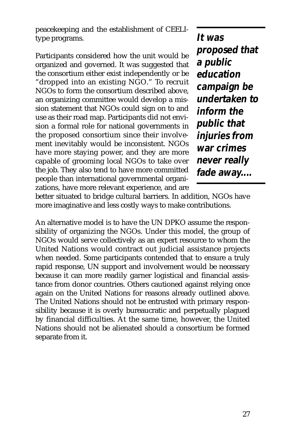peacekeeping and the establishment of CEELItype programs.

Participants considered how the unit would be organized and governed. It was suggested that the consortium either exist independently or be "dropped into an existing NGO." To recruit NGOs to form the consortium described above, an organizing committee would develop a mission statement that NGOs could sign on to and use as their road map. Participants did not envision a formal role for national governments in the proposed consortium since their involvement inevitably would be inconsistent. NGOs have more staying power, and they are more capable of grooming local NGOs to take over the job. They also tend to have more committed people than international governmental organizations, have more relevant experience, and are

**It was proposed that a public education campaign be undertaken to inform the public that injuries from war crimes never really fade away....**

better situated to bridge cultural barriers. In addition, NGOs have more imaginative and less costly ways to make contributions.

An alternative model is to have the UN DPKO assume the responsibility of organizing the NGOs. Under this model, the group of NGOs would serve collectively as an expert resource to whom the United Nations would contract out judicial assistance projects when needed. Some participants contended that to ensure a truly rapid response, UN support and involvement would be necessary because it can more readily garner logistical and financial assistance from donor countries. Others cautioned against relying once again on the United Nations for reasons already outlined above. The United Nations should not be entrusted with primary responsibility because it is overly bureaucratic and perpetually plagued by financial difficulties. At the same time, however, the United Nations should not be alienated should a consortium be formed separate from it.